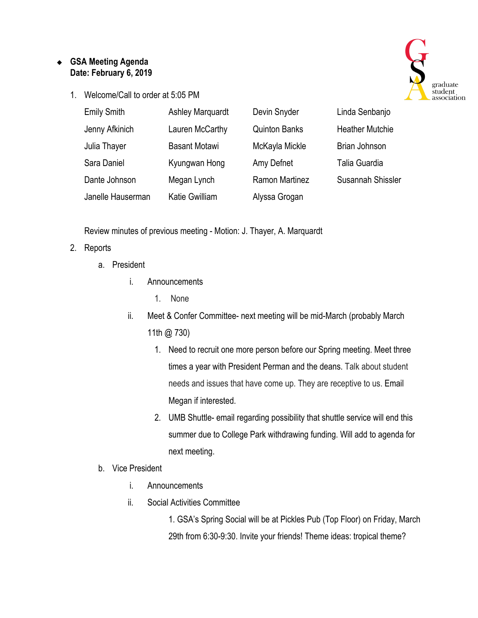## ❖ **GSA Meeting Agenda Date: February 6, 2019**

1. Welcome/Call to order at 5:05 PM



| <b>Emily Smith</b> | <b>Ashley Marquardt</b> | Devin Snyder          | Linda Senbanjo         |
|--------------------|-------------------------|-----------------------|------------------------|
| Jenny Afkinich     | Lauren McCarthy         | <b>Quinton Banks</b>  | <b>Heather Mutchie</b> |
| Julia Thayer       | <b>Basant Motawi</b>    | McKayla Mickle        | <b>Brian Johnson</b>   |
| Sara Daniel        | Kyungwan Hong           | Amy Defnet            | Talia Guardia          |
| Dante Johnson      | Megan Lynch             | <b>Ramon Martinez</b> | Susannah Shissler      |
| Janelle Hauserman  | Katie Gwilliam          | Alyssa Grogan         |                        |

Review minutes of previous meeting - Motion: J. Thayer, A. Marquardt

## 2. Reports

- a. President
	- i. Announcements
		- 1. None
	- ii. Meet & Confer Committee- next meeting will be mid-March (probably March 11th @ 730)
		- 1. Need to recruit one more person before our Spring meeting. Meet three times a year with President Perman and the deans. Talk about student needs and issues that have come up. They are receptive to us. Email Megan if interested.
		- 2. UMB Shuttle- email regarding possibility that shuttle service will end this summer due to College Park withdrawing funding. Will add to agenda for next meeting.
- b. Vice President
	- i. Announcements
	- ii. Social Activities Committee

1. GSA's Spring Social will be at Pickles Pub (Top Floor) on Friday, March 29th from 6:30-9:30. Invite your friends! Theme ideas: tropical theme?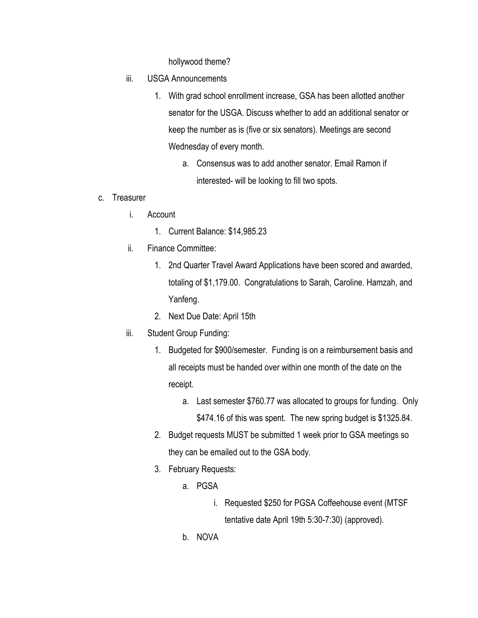hollywood theme?

- iii. USGA Announcements
	- 1. With grad school enrollment increase, GSA has been allotted another senator for the USGA. Discuss whether to add an additional senator or keep the number as is (five or six senators). Meetings are second Wednesday of every month.
		- a. Consensus was to add another senator. Email Ramon if interested- will be looking to fill two spots.
- c. Treasurer
	- i. Account
		- 1. Current Balance: \$14,985.23
	- ii. Finance Committee:
		- 1. 2nd Quarter Travel Award Applications have been scored and awarded, totaling of \$1,179.00. Congratulations to Sarah, Caroline. Hamzah, and Yanfeng.
		- 2. Next Due Date: April 15th
	- iii. Student Group Funding:
		- 1. Budgeted for \$900/semester. Funding is on a reimbursement basis and all receipts must be handed over within one month of the date on the receipt.
			- a. Last semester \$760.77 was allocated to groups for funding. Only \$474.16 of this was spent. The new spring budget is \$1325.84.
		- 2. Budget requests MUST be submitted 1 week prior to GSA meetings so they can be emailed out to the GSA body.
		- 3. February Requests:
			- a. PGSA
				- i. Requested \$250 for PGSA Coffeehouse event (MTSF tentative date April 19th 5:30-7:30) (approved).
			- b. NOVA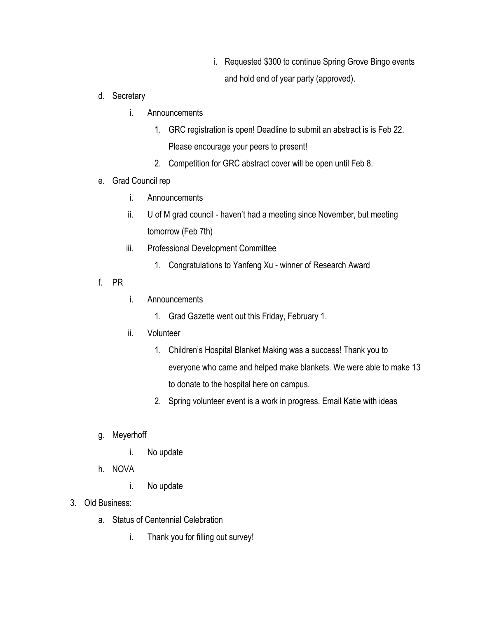i. Requested \$300 to continue Spring Grove Bingo events and hold end of year party (approved).

- d. Secretary
	- i. Announcements
		- 1. GRC registration is open! Deadline to submit an abstract is is Feb 22. Please encourage your peers to present!
		- 2. Competition for GRC abstract cover will be open until Feb 8.
- e. Grad Council rep
	- i. Announcements
	- ii. U of M grad council haven't had a meeting since November, but meeting tomorrow (Feb 7th)
	- iii. Professional Development Committee
		- 1. Congratulations to Yanfeng Xu winner of Research Award
- f. PR
- i. Announcements
	- 1. Grad Gazette went out this Friday, February 1.
- ii. Volunteer
	- 1. Children's Hospital Blanket Making was a success! Thank you to everyone who came and helped make blankets. We were able to make 13 to donate to the hospital here on campus.
	- 2. Spring volunteer event is a work in progress. Email Katie with ideas
- g. Meyerhoff
	- i. No update
- h. NOVA
	- i. No update
- 3. Old Business:
	- a. Status of Centennial Celebration
		- i. Thank you for filling out survey!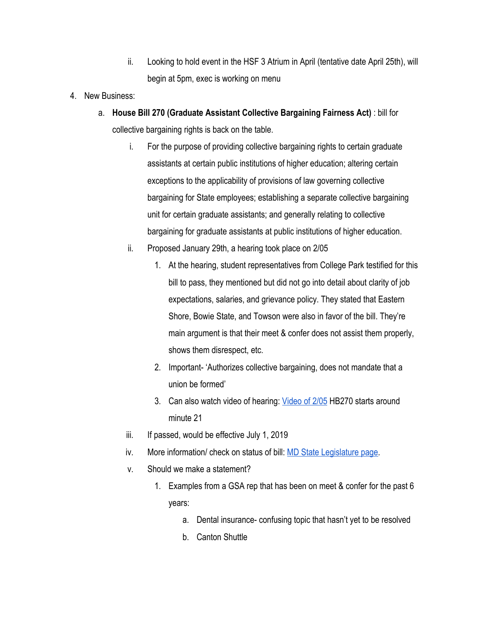- ii. Looking to hold event in the HSF 3 Atrium in April (tentative date April 25th), will begin at 5pm, exec is working on menu
- 4. New Business:
	- a. **House Bill 270 (Graduate Assistant Collective Bargaining Fairness Act)** : bill for collective bargaining rights is back on the table.
		- i. For the purpose of providing collective bargaining rights to certain graduate assistants at certain public institutions of higher education; altering certain exceptions to the applicability of provisions of law governing collective bargaining for State employees; establishing a separate collective bargaining unit for certain graduate assistants; and generally relating to collective bargaining for graduate assistants at public institutions of higher education.
		- ii. Proposed January 29th, a hearing took place on 2/05
			- 1. At the hearing, student representatives from College Park testified for this bill to pass, they mentioned but did not go into detail about clarity of job expectations, salaries, and grievance policy. They stated that Eastern Shore, Bowie State, and Towson were also in favor of the bill. They're main argument is that their meet & confer does not assist them properly, shows them disrespect, etc.
			- 2. Important- 'Authorizes collective bargaining, does not mandate that a union be formed'
			- 3. Can also watch video of hearing: [Video of 2/05](http://mgahouse.maryland.gov/mga/play/e9132cd4-9a7d-45cd-ac35-f8ce79710a5e/?catalog/03e481c7-8a42-4438-a7da-93ff74bdaa4c) HB270 starts around minute 21
		- iii. If passed, would be effective July 1, 2019
		- iv. More information/ check on status of bill: [MD State Legislature page](http://mgaleg.maryland.gov/webmga/frmMain.aspx?id=hb0270&stab=01&pid=billpage&tab=subject3&ys=2019rs).
		- v. Should we make a statement?
			- 1. Examples from a GSA rep that has been on meet & confer for the past 6 years:
				- a. Dental insurance- confusing topic that hasn't yet to be resolved
				- b. Canton Shuttle